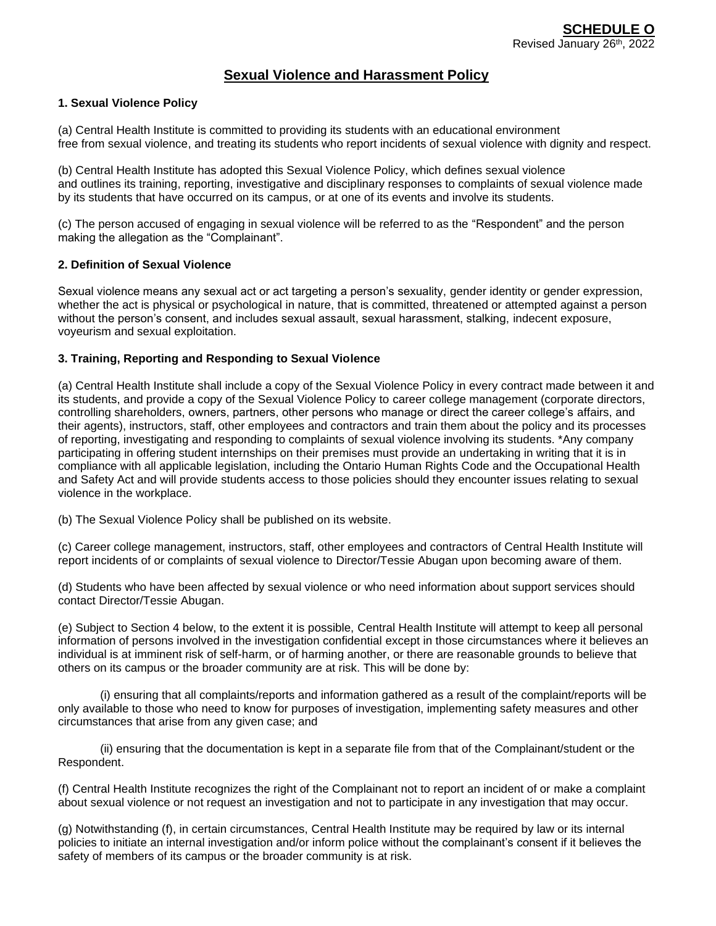# **Sexual Violence and Harassment Policy**

## **1. Sexual Violence Policy**

(a) Central Health Institute is committed to providing its students with an educational environment free from sexual violence, and treating its students who report incidents of sexual violence with dignity and respect.

(b) Central Health Institute has adopted this Sexual Violence Policy, which defines sexual violence and outlines its training, reporting, investigative and disciplinary responses to complaints of sexual violence made by its students that have occurred on its campus, or at one of its events and involve its students.

(c) The person accused of engaging in sexual violence will be referred to as the "Respondent" and the person making the allegation as the "Complainant".

## **2. Definition of Sexual Violence**

Sexual violence means any sexual act or act targeting a person's sexuality, gender identity or gender expression, whether the act is physical or psychological in nature, that is committed, threatened or attempted against a person without the person's consent, and includes sexual assault, sexual harassment, stalking, indecent exposure, voyeurism and sexual exploitation.

## **3. Training, Reporting and Responding to Sexual Violence**

(a) Central Health Institute shall include a copy of the Sexual Violence Policy in every contract made between it and its students, and provide a copy of the Sexual Violence Policy to career college management (corporate directors, controlling shareholders, owners, partners, other persons who manage or direct the career college's affairs, and their agents), instructors, staff, other employees and contractors and train them about the policy and its processes of reporting, investigating and responding to complaints of sexual violence involving its students. \*Any company participating in offering student internships on their premises must provide an undertaking in writing that it is in compliance with all applicable legislation, including the Ontario Human Rights Code and the Occupational Health and Safety Act and will provide students access to those policies should they encounter issues relating to sexual violence in the workplace.

(b) The Sexual Violence Policy shall be published on its website.

(c) Career college management, instructors, staff, other employees and contractors of Central Health Institute will report incidents of or complaints of sexual violence to Director/Tessie Abugan upon becoming aware of them.

(d) Students who have been affected by sexual violence or who need information about support services should contact Director/Tessie Abugan.

(e) Subject to Section 4 below, to the extent it is possible, Central Health Institute will attempt to keep all personal information of persons involved in the investigation confidential except in those circumstances where it believes an individual is at imminent risk of self-harm, or of harming another, or there are reasonable grounds to believe that others on its campus or the broader community are at risk. This will be done by:

(i) ensuring that all complaints/reports and information gathered as a result of the complaint/reports will be only available to those who need to know for purposes of investigation, implementing safety measures and other circumstances that arise from any given case; and

(ii) ensuring that the documentation is kept in a separate file from that of the Complainant/student or the Respondent.

(f) Central Health Institute recognizes the right of the Complainant not to report an incident of or make a complaint about sexual violence or not request an investigation and not to participate in any investigation that may occur.

(g) Notwithstanding (f), in certain circumstances, Central Health Institute may be required by law or its internal policies to initiate an internal investigation and/or inform police without the complainant's consent if it believes the safety of members of its campus or the broader community is at risk.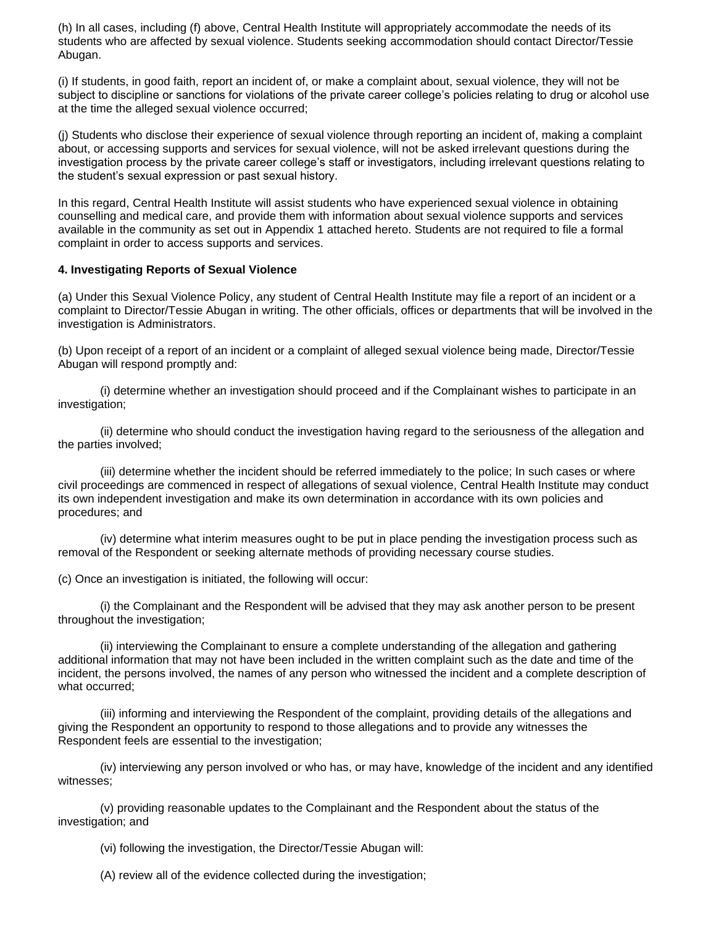(h) In all cases, including (f) above, Central Health Institute will appropriately accommodate the needs of its students who are affected by sexual violence. Students seeking accommodation should contact Director/Tessie Abugan.

(i) If students, in good faith, report an incident of, or make a complaint about, sexual violence, they will not be subject to discipline or sanctions for violations of the private career college's policies relating to drug or alcohol use at the time the alleged sexual violence occurred;

(j) Students who disclose their experience of sexual violence through reporting an incident of, making a complaint about, or accessing supports and services for sexual violence, will not be asked irrelevant questions during the investigation process by the private career college's staff or investigators, including irrelevant questions relating to the student's sexual expression or past sexual history.

In this regard, Central Health Institute will assist students who have experienced sexual violence in obtaining counselling and medical care, and provide them with information about sexual violence supports and services available in the community as set out in Appendix 1 attached hereto. Students are not required to file a formal complaint in order to access supports and services.

## **4. Investigating Reports of Sexual Violence**

(a) Under this Sexual Violence Policy, any student of Central Health Institute may file a report of an incident or a complaint to Director/Tessie Abugan in writing. The other officials, offices or departments that will be involved in the investigation is Administrators.

(b) Upon receipt of a report of an incident or a complaint of alleged sexual violence being made, Director/Tessie Abugan will respond promptly and:

(i) determine whether an investigation should proceed and if the Complainant wishes to participate in an investigation;

(ii) determine who should conduct the investigation having regard to the seriousness of the allegation and the parties involved;

(iii) determine whether the incident should be referred immediately to the police; In such cases or where civil proceedings are commenced in respect of allegations of sexual violence, Central Health Institute may conduct its own independent investigation and make its own determination in accordance with its own policies and procedures; and

(iv) determine what interim measures ought to be put in place pending the investigation process such as removal of the Respondent or seeking alternate methods of providing necessary course studies.

(c) Once an investigation is initiated, the following will occur:

(i) the Complainant and the Respondent will be advised that they may ask another person to be present throughout the investigation;

(ii) interviewing the Complainant to ensure a complete understanding of the allegation and gathering additional information that may not have been included in the written complaint such as the date and time of the incident, the persons involved, the names of any person who witnessed the incident and a complete description of what occurred;

(iii) informing and interviewing the Respondent of the complaint, providing details of the allegations and giving the Respondent an opportunity to respond to those allegations and to provide any witnesses the Respondent feels are essential to the investigation;

(iv) interviewing any person involved or who has, or may have, knowledge of the incident and any identified witnesses;

(v) providing reasonable updates to the Complainant and the Respondent about the status of the investigation; and

(vi) following the investigation, the Director/Tessie Abugan will:

(A) review all of the evidence collected during the investigation;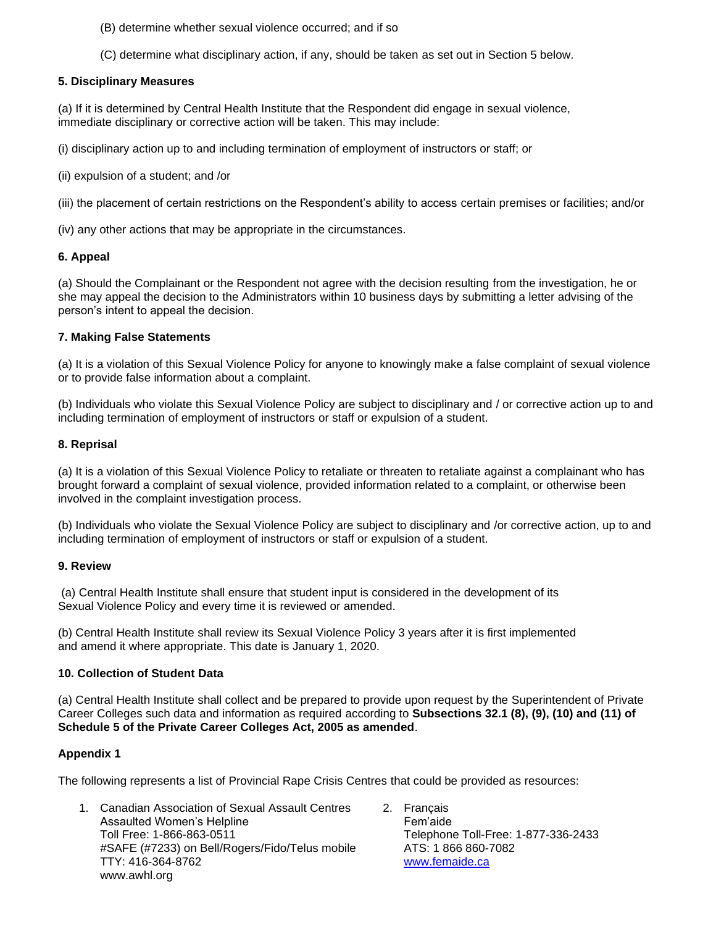- (B) determine whether sexual violence occurred; and if so
- (C) determine what disciplinary action, if any, should be taken as set out in Section 5 below.

### **5. Disciplinary Measures**

(a) If it is determined by Central Health Institute that the Respondent did engage in sexual violence, immediate disciplinary or corrective action will be taken. This may include:

(i) disciplinary action up to and including termination of employment of instructors or staff; or

(ii) expulsion of a student; and /or

(iii) the placement of certain restrictions on the Respondent's ability to access certain premises or facilities; and/or

(iv) any other actions that may be appropriate in the circumstances.

### **6. Appeal**

(a) Should the Complainant or the Respondent not agree with the decision resulting from the investigation, he or she may appeal the decision to the Administrators within 10 business days by submitting a letter advising of the person's intent to appeal the decision.

### **7. Making False Statements**

(a) It is a violation of this Sexual Violence Policy for anyone to knowingly make a false complaint of sexual violence or to provide false information about a complaint.

(b) Individuals who violate this Sexual Violence Policy are subject to disciplinary and / or corrective action up to and including termination of employment of instructors or staff or expulsion of a student.

#### **8. Reprisal**

(a) It is a violation of this Sexual Violence Policy to retaliate or threaten to retaliate against a complainant who has brought forward a complaint of sexual violence, provided information related to a complaint, or otherwise been involved in the complaint investigation process.

(b) Individuals who violate the Sexual Violence Policy are subject to disciplinary and /or corrective action, up to and including termination of employment of instructors or staff or expulsion of a student.

### **9. Review**

(a) Central Health Institute shall ensure that student input is considered in the development of its Sexual Violence Policy and every time it is reviewed or amended.

(b) Central Health Institute shall review its Sexual Violence Policy 3 years after it is first implemented and amend it where appropriate. This date is January 1, 2020.

### **10. Collection of Student Data**

(a) Central Health Institute shall collect and be prepared to provide upon request by the Superintendent of Private Career Colleges such data and information as required according to **Subsections 32.1 (8), (9), (10) and (11) of Schedule 5 of the Private Career Colleges Act, 2005 as amended**.

### **Appendix 1**

The following represents a list of Provincial Rape Crisis Centres that could be provided as resources:

- 1. Canadian Association of Sexual Assault Centres Assaulted Women's Helpline Toll Free: 1-866-863-0511 #SAFE (#7233) on Bell/Rogers/Fido/Telus mobile TTY: 416-364-8762 www.awhl.org
- 2. Français Fem'aide Telephone Toll-Free: 1-877-336-2433 ATS: 1 866 860-7082 [www.femaide.ca](http://www.femaide.ca/)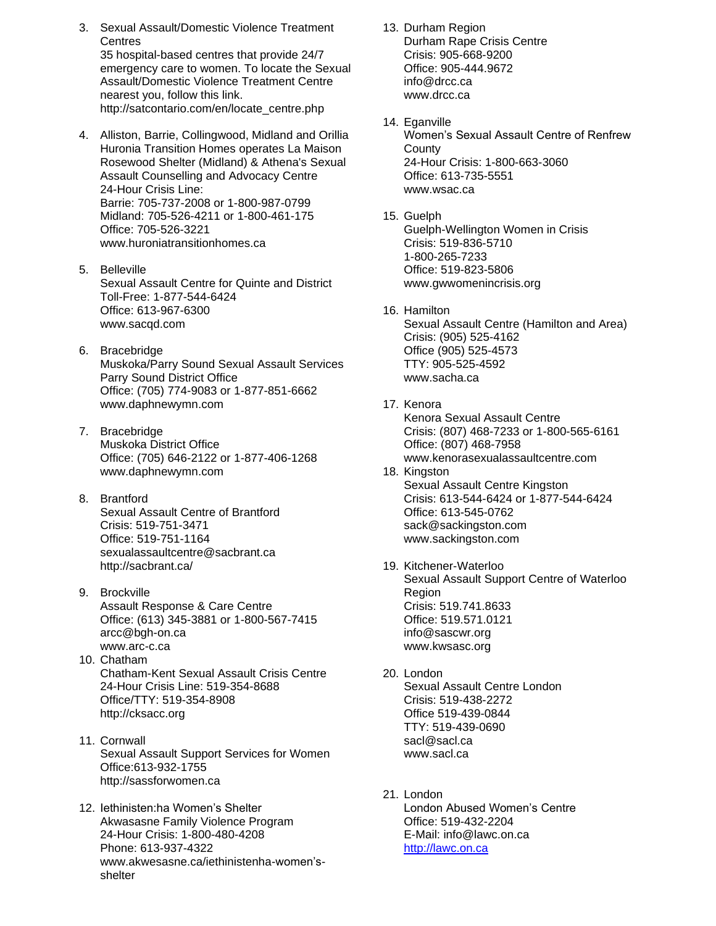- 3. Sexual Assault/Domestic Violence Treatment **Centres** 35 hospital-based centres that provide 24/7 emergency care to women. To locate the Sexual Assault/Domestic Violence Treatment Centre nearest you, follow this link. http://satcontario.com/en/locate\_centre.php
- 4. Alliston, Barrie, Collingwood, Midland and Orillia Huronia Transition Homes operates La Maison Rosewood Shelter (Midland) & Athena's Sexual Assault Counselling and Advocacy Centre 24-Hour Crisis Line: Barrie: 705-737-2008 or 1-800-987-0799 Midland: 705-526-4211 or 1-800-461-175 Office: 705-526-3221 www.huroniatransitionhomes.ca
- 5. Belleville Sexual Assault Centre for Quinte and District Toll-Free: 1-877-544-6424 Office: 613-967-6300 www.sacqd.com
- 6. Bracebridge Muskoka/Parry Sound Sexual Assault Services Parry Sound District Office Office: (705) 774-9083 or 1-877-851-6662 www.daphnewymn.com
- 7. Bracebridge Muskoka District Office Office: (705) 646-2122 or 1-877-406-1268 www.daphnewymn.com
- 8. Brantford Sexual Assault Centre of Brantford Crisis: 519-751-3471 Office: 519-751-1164 sexualassaultcentre@sacbrant.ca http://sacbrant.ca/
- 9. Brockville Assault Response & Care Centre Office: (613) 345-3881 or 1-800-567-7415 arcc@bgh-on.ca www.arc-c.ca
- 10. Chatham Chatham-Kent Sexual Assault Crisis Centre 24-Hour Crisis Line: 519-354-8688 Office/TTY: 519-354-8908 http://cksacc.org
- 11. Cornwall Sexual Assault Support Services for Women Office:613-932-1755 http://sassforwomen.ca
- 12. Iethinisten:ha Women's Shelter Akwasasne Family Violence Program 24-Hour Crisis: 1-800-480-4208 Phone: 613-937-4322 www.akwesasne.ca/iethinistenha-women'sshelter

13. Durham Region Durham Rape Crisis Centre Crisis: 905-668-9200 Office: 905-444.9672 info@drcc.c[a](mailto:info@drcc.ca) www.drcc.ca

- 14. Eganville Women's Sexual Assault Centre of Renfrew **County** 24-Hour Crisis: 1-800-663-3060 Office: 613-735-5551 www.wsac.ca
- 15. Guelph Guelph-Wellington Women in Crisis Crisis: 519-836-5710 1-800-265-7233 Office: 519-823-5806 www.gwwomenincrisis.org
- 16. Hamilton Sexual Assault Centre (Hamilton and Area) Crisis: (905) 525-4162 Office (905) 525-4573 TTY: 905-525-4592 www.sacha.ca
- 17. Kenora Kenora Sexual Assault Centre Crisis: (807) 468-7233 or 1-800-565-6161 Office: (807) 468-7958 www.kenorasexualassaultcentre.com
- 18. Kingston Sexual Assault Centre Kingston Crisis: 613-544-6424 or 1-877-544-6424 Office: 613-545-0762 sack@sackingston.com www.sackingston.com
- 19. Kitchener-Waterloo Sexual Assault Support Centre of Waterloo Region Crisis: 519.741.8633 Office: 519.571.0121 info@sascwr.org www.kwsasc.org
- 20. London Sexual Assault Centre London Crisis: 519-438-2272 Office 519-439-0844 TTY: 519-439-0690 sacl@sacl.ca www.sacl.ca
- 21. London London Abused Women's Centre Office: 519-432-2204 E-Mail: info@lawc.on.ca [http://lawc.on.ca](http://lawc.on.ca/)